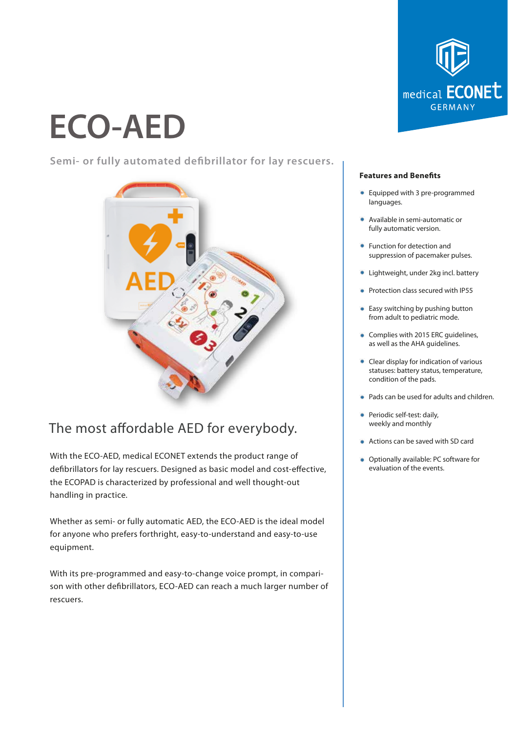# **ECO-AED**

**Semi- or fully automated debrillator for lay rescuers.**



# The most affordable AED for everybody.

With the ECO-AED, medical ECONET extends the product range of defibrillators for lay rescuers. Designed as basic model and cost-effective, the ECOPAD is characterized by professional and well thought-out handling in practice.

Whether as semi- or fully automatic AED, the ECO-AED is the ideal model for anyone who prefers forthright, easy-to-understand and easy-to-use equipment.

With its pre-programmed and easy-to-change voice prompt, in comparison with other defibrillators, ECO-AED can reach a much larger number of rescuers.



#### **Features and Benefits**

- Equipped with 3 pre-programmed languages.
- Available in semi-automatic or fully automatic version.
- **•** Function for detection and suppression of pacemaker pulses.
- **Lightweight, under 2kg incl. battery**
- **Protection class secured with IP55**
- Easy switching by pushing button from adult to pediatric mode.
- **Complies with 2015 ERC quidelines,** as well as the AHA guidelines.
- Clear display for indication of various statuses: battery status, temperature, condition of the pads.
- Pads can be used for adults and children.
- **•** Periodic self-test: daily, weekly and monthly
- Actions can be saved with SD card
- **Optionally available: PC software for** evaluation of the events.